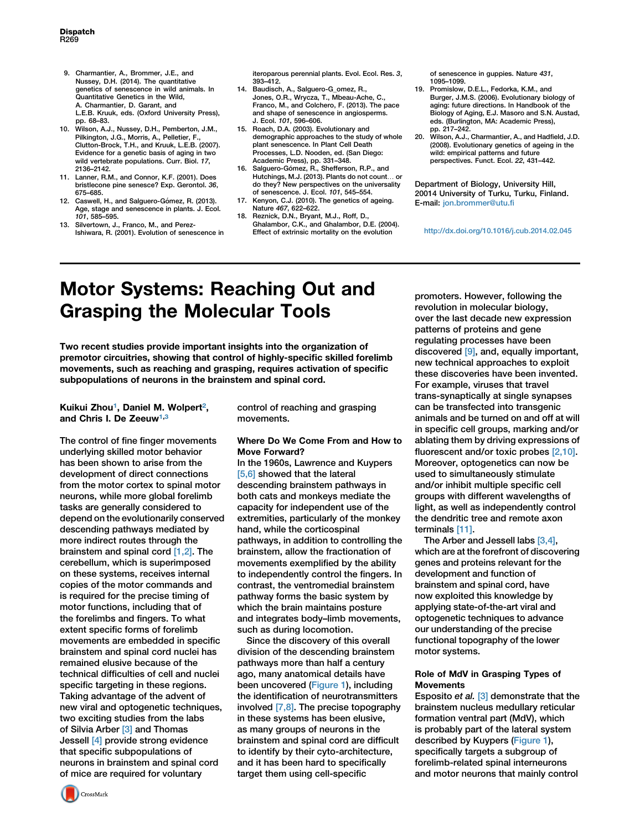- 9. Charmantier, A., Brommer, J.E., and Nussey, D.H. (2014). The quantitative genetics of senescence in wild animals. In Quantitative Genetics in the Wild, A. Charmantier, D. Garant, and L.E.B. Kruuk, eds. (Oxford University Press), pp. 68–83.
- 10. Wilson, A.J., Nussey, D.H., Pemberton, J.M., Pilkington, J.G., Morris, A., Pelletier, F., Clutton-Brock, T.H., and Kruuk, L.E.B. (2007). Evidence for a genetic basis of aging in two wild vertebrate populations. Curr. Biol. 17, 2136–2142.
- 11. Lanner, R.M., and Connor, K.F. (2001). Does bristlecone pine senesce? Exp. Gerontol. 36, 675–685.
- 12. Caswell, H., and Salguero-Gómez, R. (2013). Age, stage and senescence in plants. J. Ecol.<br>101, 585–595.
- 101, 585–595. 13. Silvertown, J., Franco, M., and Perez-Ishiwara, R. (2001). Evolution of senescence in

iteroparous perennial plants. Evol. Ecol. Res. 3, 393–412.

- 14. Baudisch, A., Salguero-G\_omez, R., Jones, O.R., Wrycza, T., Mbeau-Ache, C., Franco, M., and Colchero, F. (2013). The pace and shape of senescence in angiosperms. J. Ecol. 101, 596–606.
- 15. Roach, D.A. (2003). Evolutionary and demographic approaches to the study of whole plant senescence. In Plant Cell Death Processes, L.D. Nooden, ed. (San Diego: Academic Press), pp. 331–348.
- 16. Salguero-Gómez, R., Shefferson, R.P., and Hutchings, M.J. (2013). Plants do not count... or do they? New perspectives on the universality of senescence. J. Ecol. 101, 545–554.
- 17. Kenyon, C.J. (2010). The genetics of ageing. Nature 467, 622–622. 18. Reznick, D.N., Bryant, M.J., Roff, D.,
- Ghalambor, C.K., and Ghalambor, D.E. (2004). Effect of extrinsic mortality on the evolution

of senescence in guppies. Nature 431, 1095–1099.

- 19. Promislow, D.E.L., Fedorka, K.M., and Burger, J.M.S. (2006). Evolutionary biology of aging: future directions. In Handbook of the Biology of Aging, E.J. Masoro and S.N. Austad, eds. (Burlington, MA: Academic Press), pp. 217–242.
- 20. Wilson, A.J., Charmantier, A., and Hadfield, J.D. (2008). Evolutionary genetics of ageing in the wild: empirical patterns and future perspectives. Funct. Ecol. 22, 431–442.

Department of Biology, University Hill, 20014 University of Turku, Turku, Finland. E-mail: [jon.brommer@utu.fi](mailto:jon.brommer@utu.fi)

<http://dx.doi.org/10.1016/j.cub.2014.02.045>

# Motor Systems: Reaching Out and Grasping the Molecular Tools

Two recent studies provide important insights into the organization of premotor circuitries, showing that control of highly-specific skilled forelimb movements, such as reaching and grasping, requires activation of specific subpopulations of neurons in the brainstem and spinal cord.

### Kuikui Zhou<sup>[1](#page-2-0)</sup>, Daniel M. Wolpert<sup>[2](#page-2-0)</sup>, and Chris I. De Zeeuw<sup>[1,3](#page-2-0)</sup>

The control of fine finger movements underlying skilled motor behavior has been shown to arise from the development of direct connections from the motor cortex to spinal motor neurons, while more global forelimb tasks are generally considered to depend on the evolutionarily conserved descending pathways mediated by more indirect routes through the brainstem and spinal cord [\[1,2\]](#page-2-0). The cerebellum, which is superimposed on these systems, receives internal copies of the motor commands and is required for the precise timing of motor functions, including that of the forelimbs and fingers. To what extent specific forms of forelimb movements are embedded in specific brainstem and spinal cord nuclei has remained elusive because of the technical difficulties of cell and nuclei specific targeting in these regions. Taking advantage of the advent of new viral and optogenetic techniques, two exciting studies from the labs of Silvia Arber [\[3\]](#page-2-0) and Thomas Jessell [\[4\]](#page-2-0) provide strong evidence that specific subpopulations of neurons in brainstem and spinal cord of mice are required for voluntary

control of reaching and grasping movements.

## Where Do We Come From and How to Move Forward?

In the 1960s, Lawrence and Kuypers [\[5,6\]](#page-2-0) showed that the lateral descending brainstem pathways in both cats and monkeys mediate the capacity for independent use of the extremities, particularly of the monkey hand, while the corticospinal pathways, in addition to controlling the brainstem, allow the fractionation of movements exemplified by the ability to independently control the fingers. In contrast, the ventromedial brainstem pathway forms the basic system by which the brain maintains posture and integrates body–limb movements, such as during locomotion.

Since the discovery of this overall division of the descending brainstem pathways more than half a century ago, many anatomical details have been uncovered ([Figure 1](#page-1-0)), including the identification of neurotransmitters involved [\[7,8\]](#page-2-0). The precise topography in these systems has been elusive, as many groups of neurons in the brainstem and spinal cord are difficult to identify by their cyto-architecture, and it has been hard to specifically target them using cell-specific

promoters. However, following the revolution in molecular biology, over the last decade new expression patterns of proteins and gene regulating processes have been discovered [\[9\]](#page-2-0), and, equally important, new technical approaches to exploit these discoveries have been invented. For example, viruses that travel trans-synaptically at single synapses can be transfected into transgenic animals and be turned on and off at will in specific cell groups, marking and/or ablating them by driving expressions of fluorescent and/or toxic probes [\[2,10\]](#page-2-0). Moreover, optogenetics can now be used to simultaneously stimulate and/or inhibit multiple specific cell groups with different wavelengths of light, as well as independently control the dendritic tree and remote axon terminals [\[11\]](#page-2-0).

The Arber and Jessell labs [\[3,4\],](#page-2-0) which are at the forefront of discovering genes and proteins relevant for the development and function of brainstem and spinal cord, have now exploited this knowledge by applying state-of-the-art viral and optogenetic techniques to advance our understanding of the precise functional topography of the lower motor systems.

## Role of MdV in Grasping Types of Movements

Esposito et al.  $[3]$  demonstrate that the brainstem nucleus medullary reticular formation ventral part (MdV), which is probably part of the lateral system described by Kuypers [\(Figure 1\)](#page-1-0), specifically targets a subgroup of forelimb-related spinal interneurons and motor neurons that mainly control

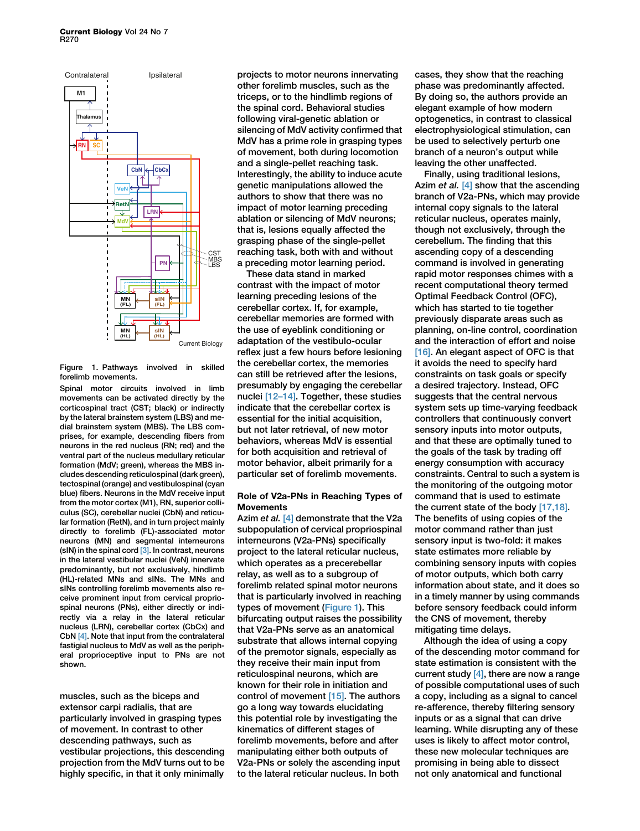<span id="page-1-0"></span>

Figure 1. Pathways involved in skilled forelimb movements.

Spinal motor circuits involved in limb movements can be activated directly by the corticospinal tract (CST; black) or indirectly by the lateral brainstem system (LBS) and medial brainstem system (MBS). The LBS comprises, for example, descending fibers from neurons in the red nucleus (RN; red) and the ventral part of the nucleus medullary reticular formation (MdV; green), whereas the MBS includes descending reticulospinal (dark green), tectospinal (orange) and vestibulospinal (cyan blue) fibers. Neurons in the MdV receive input from the motor cortex (M1), RN, superior colliculus (SC), cerebellar nuclei (CbN) and reticular formation (RetN), and in turn project mainly directly to forelimb (FL)-associated motor neurons (MN) and segmental interneurons  $(sIN)$  in the spinal cord  $[3]$ . In contrast, neurons in the lateral vestibular nuclei (VeN) innervate predominantly, but not exclusively, hindlimb (HL)-related MNs and sINs. The MNs and sINs controlling forelimb movements also receive prominent input from cervical propriospinal neurons (PNs), either directly or indirectly via a relay in the lateral reticular nucleus (LRN), cerebellar cortex (CbCx) and CbN [\[4\].](#page-2-0) Note that input from the contralateral fastigial nucleus to MdV as well as the peripheral proprioceptive input to PNs are not shown.

muscles, such as the biceps and extensor carpi radialis, that are particularly involved in grasping types of movement. In contrast to other descending pathways, such as vestibular projections, this descending projection from the MdV turns out to be highly specific, in that it only minimally projects to motor neurons innervating other forelimb muscles, such as the triceps, or to the hindlimb regions of the spinal cord. Behavioral studies following viral-genetic ablation or silencing of MdV activity confirmed that MdV has a prime role in grasping types of movement, both during locomotion and a single-pellet reaching task. Interestingly, the ability to induce acute genetic manipulations allowed the authors to show that there was no impact of motor learning preceding ablation or silencing of MdV neurons; that is, lesions equally affected the grasping phase of the single-pellet reaching task, both with and without a preceding motor learning period.

These data stand in marked contrast with the impact of motor learning preceding lesions of the cerebellar cortex. If, for example, cerebellar memories are formed with the use of eyeblink conditioning or adaptation of the vestibulo-ocular reflex just a few hours before lesioning the cerebellar cortex, the memories can still be retrieved after the lesions, presumably by engaging the cerebellar nuclei [\[12–14\].](#page-2-0) Together, these studies indicate that the cerebellar cortex is essential for the initial acquisition, but not later retrieval, of new motor behaviors, whereas MdV is essential for both acquisition and retrieval of motor behavior, albeit primarily for a particular set of forelimb movements.

#### Role of V2a-PNs in Reaching Types of Movements

Azim et al.  $[4]$  demonstrate that the V2a subpopulation of cervical propriospinal interneurons (V2a-PNs) specifically project to the lateral reticular nucleus, which operates as a precerebellar relay, as well as to a subgroup of forelimb related spinal motor neurons that is particularly involved in reaching types of movement (Figure 1). This bifurcating output raises the possibility that V2a-PNs serve as an anatomical substrate that allows internal copying of the premotor signals, especially as they receive their main input from reticulospinal neurons, which are known for their role in initiation and control of movement  $[15]$ . The authors go a long way towards elucidating this potential role by investigating the kinematics of different stages of forelimb movements, before and after manipulating either both outputs of V2a-PNs or solely the ascending input to the lateral reticular nucleus. In both

cases, they show that the reaching phase was predominantly affected. By doing so, the authors provide an elegant example of how modern optogenetics, in contrast to classical electrophysiological stimulation, can be used to selectively perturb one branch of a neuron's output while leaving the other unaffected.

Finally, using traditional lesions, Azim et al.  $[4]$  show that the ascending branch of V2a-PNs, which may provide internal copy signals to the lateral reticular nucleus, operates mainly, though not exclusively, through the cerebellum. The finding that this ascending copy of a descending command is involved in generating rapid motor responses chimes with a recent computational theory termed Optimal Feedback Control (OFC), which has started to tie together previously disparate areas such as planning, on-line control, coordination and the interaction of effort and noise [\[16\].](#page-2-0) An elegant aspect of OFC is that it avoids the need to specify hard constraints on task goals or specify a desired trajectory. Instead, OFC suggests that the central nervous system sets up time-varying feedback controllers that continuously convert sensory inputs into motor outputs, and that these are optimally tuned to the goals of the task by trading off energy consumption with accuracy constraints. Central to such a system is the monitoring of the outgoing motor command that is used to estimate the current state of the body [\[17,18\]](#page-2-0). The benefits of using copies of the motor command rather than just sensory input is two-fold: it makes state estimates more reliable by combining sensory inputs with copies of motor outputs, which both carry information about state, and it does so in a timely manner by using commands before sensory feedback could inform the CNS of movement, thereby mitigating time delays.

Although the idea of using a copy of the descending motor command for state estimation is consistent with the current study  $[4]$ , there are now a range of possible computational uses of such a copy, including as a signal to cancel re-afference, thereby filtering sensory inputs or as a signal that can drive learning. While disrupting any of these uses is likely to affect motor control, these new molecular techniques are promising in being able to dissect not only anatomical and functional